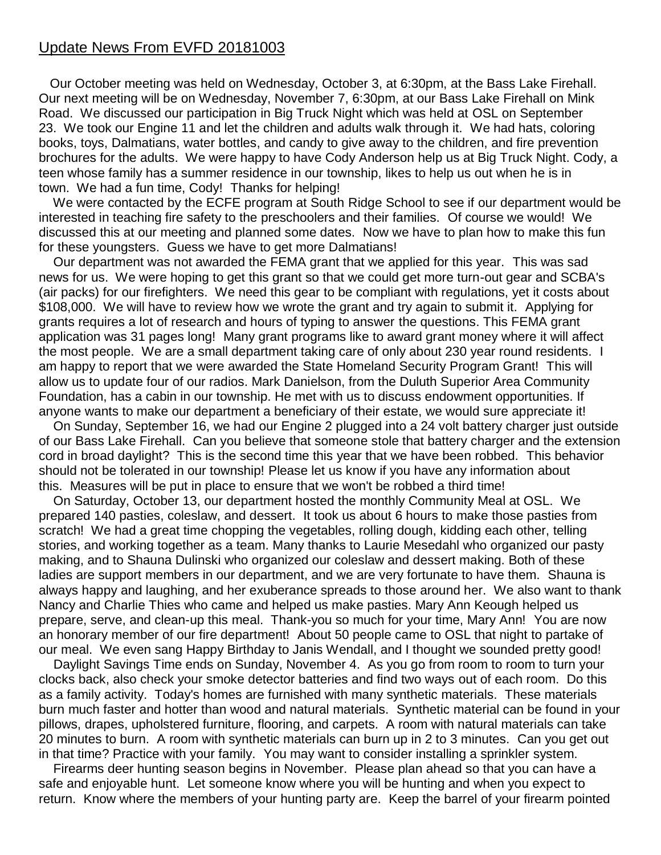## Update News From EVFD 20181003

 Our October meeting was held on Wednesday, October 3, at 6:30pm, at the Bass Lake Firehall. Our next meeting will be on Wednesday, November 7, 6:30pm, at our Bass Lake Firehall on Mink Road. We discussed our participation in Big Truck Night which was held at OSL on September 23. We took our Engine 11 and let the children and adults walk through it. We had hats, coloring books, toys, Dalmatians, water bottles, and candy to give away to the children, and fire prevention brochures for the adults. We were happy to have Cody Anderson help us at Big Truck Night. Cody, a teen whose family has a summer residence in our township, likes to help us out when he is in town. We had a fun time, Cody! Thanks for helping!

 We were contacted by the ECFE program at South Ridge School to see if our department would be interested in teaching fire safety to the preschoolers and their families. Of course we would! We discussed this at our meeting and planned some dates. Now we have to plan how to make this fun for these youngsters. Guess we have to get more Dalmatians!

 Our department was not awarded the FEMA grant that we applied for this year. This was sad news for us. We were hoping to get this grant so that we could get more turn-out gear and SCBA's (air packs) for our firefighters. We need this gear to be compliant with regulations, yet it costs about \$108,000. We will have to review how we wrote the grant and try again to submit it. Applying for grants requires a lot of research and hours of typing to answer the questions. This FEMA grant application was 31 pages long! Many grant programs like to award grant money where it will affect the most people. We are a small department taking care of only about 230 year round residents. I am happy to report that we were awarded the State Homeland Security Program Grant! This will allow us to update four of our radios. Mark Danielson, from the Duluth Superior Area Community Foundation, has a cabin in our township. He met with us to discuss endowment opportunities. If anyone wants to make our department a beneficiary of their estate, we would sure appreciate it!

 On Sunday, September 16, we had our Engine 2 plugged into a 24 volt battery charger just outside of our Bass Lake Firehall. Can you believe that someone stole that battery charger and the extension cord in broad daylight? This is the second time this year that we have been robbed. This behavior should not be tolerated in our township! Please let us know if you have any information about this. Measures will be put in place to ensure that we won't be robbed a third time!

 On Saturday, October 13, our department hosted the monthly Community Meal at OSL. We prepared 140 pasties, coleslaw, and dessert. It took us about 6 hours to make those pasties from scratch! We had a great time chopping the vegetables, rolling dough, kidding each other, telling stories, and working together as a team. Many thanks to Laurie Mesedahl who organized our pasty making, and to Shauna Dulinski who organized our coleslaw and dessert making. Both of these ladies are support members in our department, and we are very fortunate to have them. Shauna is always happy and laughing, and her exuberance spreads to those around her. We also want to thank Nancy and Charlie Thies who came and helped us make pasties. Mary Ann Keough helped us prepare, serve, and clean-up this meal. Thank-you so much for your time, Mary Ann! You are now an honorary member of our fire department! About 50 people came to OSL that night to partake of our meal. We even sang Happy Birthday to Janis Wendall, and I thought we sounded pretty good!

 Daylight Savings Time ends on Sunday, November 4. As you go from room to room to turn your clocks back, also check your smoke detector batteries and find two ways out of each room. Do this as a family activity. Today's homes are furnished with many synthetic materials. These materials burn much faster and hotter than wood and natural materials. Synthetic material can be found in your pillows, drapes, upholstered furniture, flooring, and carpets. A room with natural materials can take 20 minutes to burn. A room with synthetic materials can burn up in 2 to 3 minutes. Can you get out in that time? Practice with your family. You may want to consider installing a sprinkler system.

 Firearms deer hunting season begins in November. Please plan ahead so that you can have a safe and enjoyable hunt. Let someone know where you will be hunting and when you expect to return. Know where the members of your hunting party are. Keep the barrel of your firearm pointed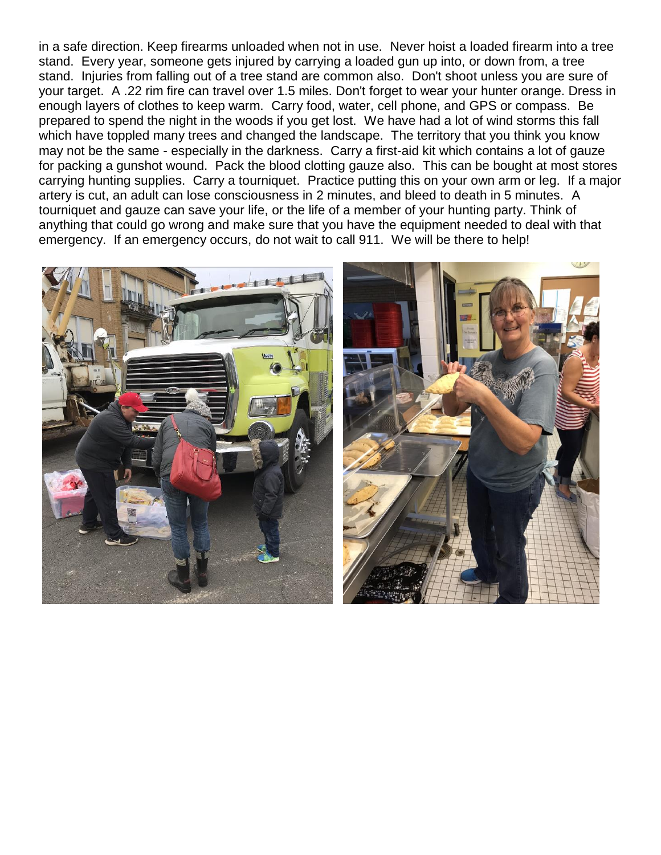in a safe direction. Keep firearms unloaded when not in use. Never hoist a loaded firearm into a tree stand. Every year, someone gets injured by carrying a loaded gun up into, or down from, a tree stand. Injuries from falling out of a tree stand are common also. Don't shoot unless you are sure of your target. A .22 rim fire can travel over 1.5 miles. Don't forget to wear your hunter orange. Dress in enough layers of clothes to keep warm. Carry food, water, cell phone, and GPS or compass. Be prepared to spend the night in the woods if you get lost. We have had a lot of wind storms this fall which have toppled many trees and changed the landscape. The territory that you think you know may not be the same - especially in the darkness. Carry a first-aid kit which contains a lot of gauze for packing a gunshot wound. Pack the blood clotting gauze also. This can be bought at most stores carrying hunting supplies. Carry a tourniquet. Practice putting this on your own arm or leg. If a major artery is cut, an adult can lose consciousness in 2 minutes, and bleed to death in 5 minutes. A tourniquet and gauze can save your life, or the life of a member of your hunting party. Think of anything that could go wrong and make sure that you have the equipment needed to deal with that emergency. If an emergency occurs, do not wait to call 911. We will be there to help!

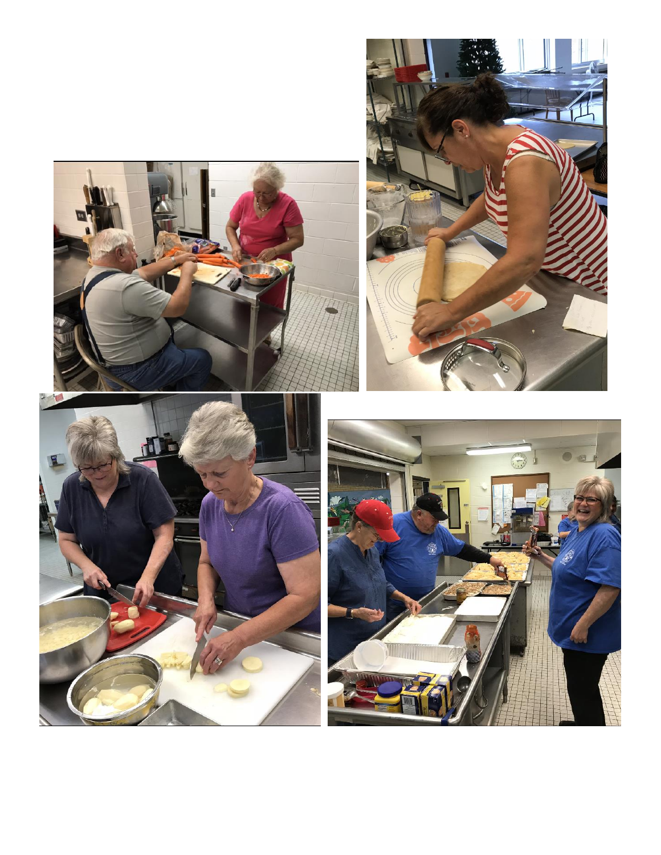